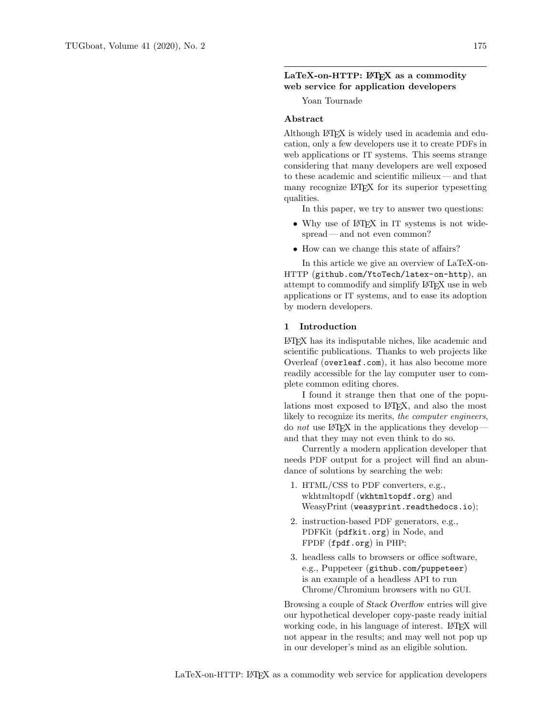## $LaTeX-on-HTTP:  $BTFX$  as a commodity$ web service for application developers

Yoan Tournade

## Abstract

Although LATEX is widely used in academia and education, only a few developers use it to create PDFs in web applications or IT systems. This seems strange considering that many developers are well exposed to these academic and scientific milieux— and that many recognize LATEX for its superior typesetting qualities.

In this paper, we try to answer two questions:

- Why use of IATEX in IT systems is not widespread — and not even common?
- How can we change this state of affairs?

In this article we give an overview of LaTeX-on-HTTP ([github.com/YtoTech/latex-on-http](https://github.com/YtoTech/latex-on-http)), an attempt to commodify and simplify LAT<sub>F</sub>X use in web applications or IT systems, and to ease its adoption by modern developers.

## 1 Introduction

LATEX has its indisputable niches, like academic and scientific publications. Thanks to web projects like Overleaf ([overleaf.com](https://overleaf.com)), it has also become more readily accessible for the lay computer user to complete common editing chores.

I found it strange then that one of the populations most exposed to LATEX, and also the most likely to recognize its merits, the computer engineers, do not use  $LATEX$  in the applications they developand that they may not even think to do so.

Currently a modern application developer that needs PDF output for a project will find an abundance of solutions by searching the web:

- 1. HTML/CSS to PDF converters, e.g., wkhtmltopdf ([wkhtmltopdf.org](https://wkhtmltopdf.org)) and WeasyPrint ([weasyprint.readthedocs.io](https://weasyprint.readthedocs.io));
- 2. instruction-based PDF generators, e.g., PDFKit ([pdfkit.org](https://pdfkit.org)) in Node, and FPDF ([fpdf.org](https://fpdf.org)) in PHP;
- 3. headless calls to browsers or office software, e.g., Puppeteer ([github.com/puppeteer](https://github.com/puppeteer)) is an example of a headless API to run Chrome/Chromium browsers with no GUI.

Browsing a couple of Stack Overflow entries will give our hypothetical developer copy-paste ready initial working code, in his language of interest. LATEX will not appear in the results; and may well not pop up in our developer's mind as an eligible solution.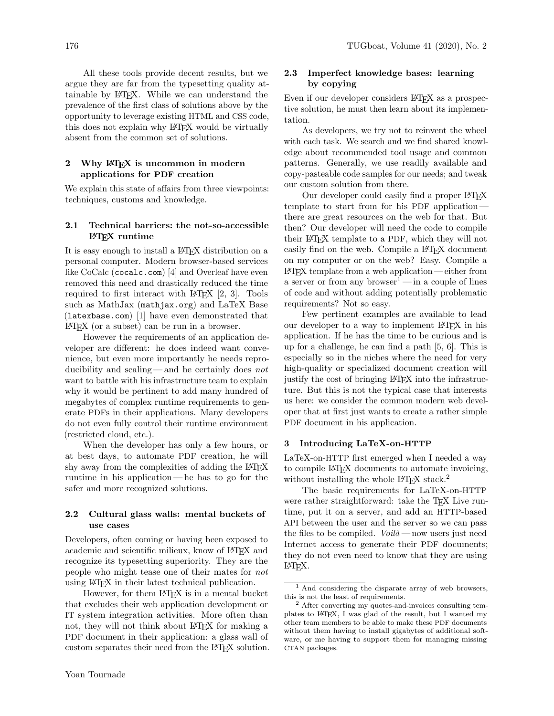All these tools provide decent results, but we argue they are far from the typesetting quality attainable by LATEX. While we can understand the prevalence of the first class of solutions above by the opportunity to leverage existing HTML and CSS code, this does not explain why LATEX would be virtually absent from the common set of solutions.

## 2 Why L<sup>AT</sup>EX is uncommon in modern applications for PDF creation

We explain this state of affairs from three viewpoints: techniques, customs and knowledge.

### 2.1 Technical barriers: the not-so-accessible LATEX runtime

It is easy enough to install a LATEX distribution on a personal computer. Modern browser-based services like CoCalc ([cocalc.com](https://cocalc.com)) [\[4\]](#page-3-0) and Overleaf have even removed this need and drastically reduced the time required to first interact with  $\text{LATEX}$  [\[2,](#page-3-1) [3\]](#page-3-2). Tools such as MathJax ([mathjax.org](https://mathjax.org)) and LaTeX Base ([latexbase.com](https://latexbase.com)) [\[1\]](#page-3-3) have even demonstrated that LATEX (or a subset) can be run in a browser.

However the requirements of an application developer are different: he does indeed want convenience, but even more importantly he needs reproducibility and scaling— and he certainly does not want to battle with his infrastructure team to explain why it would be pertinent to add many hundred of megabytes of complex runtime requirements to generate PDFs in their applications. Many developers do not even fully control their runtime environment (restricted cloud, etc.).

When the developer has only a few hours, or at best days, to automate PDF creation, he will shy away from the complexities of adding the L<sup>AT</sup>EX runtime in his application— he has to go for the safer and more recognized solutions.

## 2.2 Cultural glass walls: mental buckets of use cases

Developers, often coming or having been exposed to academic and scientific milieux, know of LATEX and recognize its typesetting superiority. They are the people who might tease one of their mates for not using LATEX in their latest technical publication.

However, for them LAT<sub>EX</sub> is in a mental bucket that excludes their web application development or IT system integration activities. More often than not, they will not think about LATEX for making a PDF document in their application: a glass wall of custom separates their need from the LATEX solution.

# 2.3 Imperfect knowledge bases: learning by copying

Even if our developer considers LATEX as a prospective solution, he must then learn about its implementation.

As developers, we try not to reinvent the wheel with each task. We search and we find shared knowledge about recommended tool usage and common patterns. Generally, we use readily available and copy-pasteable code samples for our needs; and tweak our custom solution from there.

Our developer could easily find a proper LAT<sub>EX</sub> template to start from for his PDF application there are great resources on the web for that. But then? Our developer will need the code to compile their LATEX template to a PDF, which they will not easily find on the web. Compile a L<sup>A</sup>T<sub>F</sub>X document on my computer or on the web? Easy. Compile a LATEX template from a web application — either from a server or from any browser<sup>[1](#page-1-0)</sup> — in a couple of lines of code and without adding potentially problematic requirements? Not so easy.

Few pertinent examples are available to lead our developer to a way to implement LATEX in his application. If he has the time to be curious and is up for a challenge, he can find a path [\[5,](#page-3-4) [6\]](#page-3-5). This is especially so in the niches where the need for very high-quality or specialized document creation will justify the cost of bringing LATEX into the infrastructure. But this is not the typical case that interests us here: we consider the common modern web developer that at first just wants to create a rather simple PDF document in his application.

#### 3 Introducing LaTeX-on-HTTP

LaTeX-on-HTTP first emerged when I needed a way to compile LATEX documents to automate invoicing, without installing the whole LAT<sub>EX</sub> stack.<sup>[2](#page-1-1)</sup>

The basic requirements for LaTeX-on-HTTP were rather straightforward: take the TFX Live runtime, put it on a server, and add an HTTP-based API between the user and the server so we can pass the files to be compiled.  $\textit{Volid}$  — now users just need Internet access to generate their PDF documents; they do not even need to know that they are using LATEX.

<span id="page-1-0"></span><sup>1</sup> And considering the disparate array of web browsers, this is not the least of requirements.

<span id="page-1-1"></span><sup>2</sup> After converting my quotes-and-invoices consulting templates to LATEX, I was glad of the result, but I wanted my other team members to be able to make these PDF documents without them having to install gigabytes of additional software, or me having to support them for managing missing CTAN packages.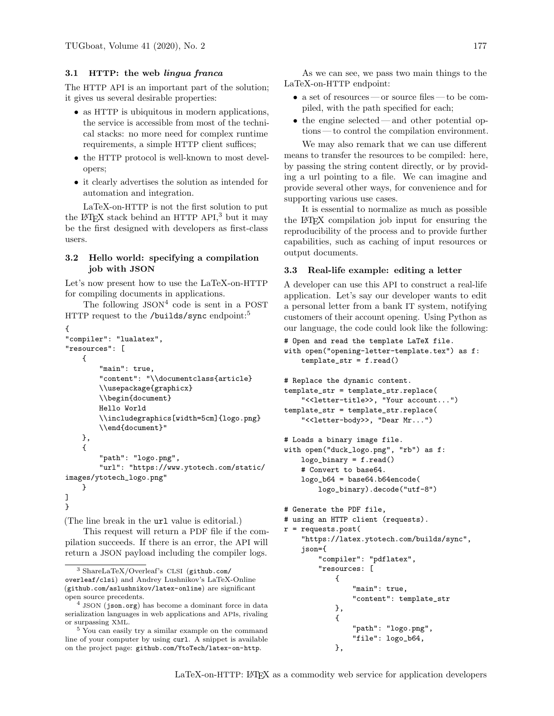# 3.1 HTTP: the web lingua franca

The HTTP API is an important part of the solution; it gives us several desirable properties:

- as HTTP is ubiquitous in modern applications, the service is accessible from most of the technical stacks: no more need for complex runtime requirements, a simple HTTP client suffices;
- the HTTP protocol is well-known to most developers;
- it clearly advertises the solution as intended for automation and integration.

LaTeX-on-HTTP is not the first solution to put the  $L^{\text{A}}$ FK stack behind an HTTP API,<sup>[3](#page-2-0)</sup> but it may be the first designed with developers as first-class users.

## 3.2 Hello world: specifying a compilation job with JSON

Let's now present how to use the LaTeX-on-HTTP for compiling documents in applications.

The following JSON<sup>[4](#page-2-1)</sup> code is sent in a POST HTTP request to the /builds/sync endpoint:<sup>[5](#page-2-2)</sup>

```
{
"compiler": "lualatex",
"resources": [
    {
        "main": true,
        "content": "\\documentclass{article}
        \\usepackage{graphicx}
        \\begin{document}
        Hello World
        \\includegraphics[width=5cm]{logo.png}
        \\end{document}"
    },
    {
        "path": "logo.png",
        "url": "https://www.ytotech.com/static/
images/ytotech_logo.png"
    }
]
}
```
(The line break in the url value is editorial.)

This request will return a PDF file if the compilation succeeds. If there is an error, the API will return a JSON payload including the compiler logs.

As we can see, we pass two main things to the LaTeX-on-HTTP endpoint:

- a set of resources or source files to be compiled, with the path specified for each;
- the engine selected—and other potential options — to control the compilation environment.

We may also remark that we can use different means to transfer the resources to be compiled: here, by passing the string content directly, or by providing a url pointing to a file. We can imagine and provide several other ways, for convenience and for supporting various use cases.

It is essential to normalize as much as possible the LATEX compilation job input for ensuring the reproducibility of the process and to provide further capabilities, such as caching of input resources or output documents.

### 3.3 Real-life example: editing a letter

A developer can use this API to construct a real-life application. Let's say our developer wants to edit a personal letter from a bank IT system, notifying customers of their account opening. Using Python as our language, the code could look like the following:

```
# Open and read the template LaTeX file.
with open("opening-letter-template.tex") as f:
   template_str = f.read()
```

```
# Replace the dynamic content.
template_str = template_str.replace(
    "<<letter-title>>, "Your account...")
template_str = template_str.replace(
    "<<letter-body>>, "Dear Mr...")
```

```
# Loads a binary image file.
with open("duck_logo.png", "rb") as f:
    logo\_binary = f.read()# Convert to base64.
    logo_b64 = base64.b64encode(logo_binary).decode("utf-8")
```

```
# Generate the PDF file,
```

```
# using an HTTP client (requests).
r = \text{requests.post}(
    "https://latex.ytotech.com/builds/sync",
    json={
```

```
"compiler": "pdflatex",
"resources: [
```

```
{
    "main": true,
    "content": template_str
},
{
    "path": "logo.png",
    "file": logo_b64,
},
```
<span id="page-2-0"></span><sup>3</sup> ShareLaTeX/Overleaf's CLSI ([github.com/](https://github.com/overleaf/clsi) [overleaf/clsi](https://github.com/overleaf/clsi)) and Andrey Lushnikov's LaTeX-Online ([github.com/aslushnikov/latex-online](https://github.com/aslushnikov/latex-online)) are significant open source precedents.

<span id="page-2-1"></span><sup>4</sup> JSON ([json.org](https://json.org)) has become a dominant force in data serialization languages in web applications and APIs, rivaling or surpassing XML.

<span id="page-2-2"></span><sup>5</sup> You can easily try a similar example on the command line of your computer by using curl. A snippet is available on the project page: [github.com/YtoTech/latex-on-http](https://github.com/YtoTech/latex-on-http).